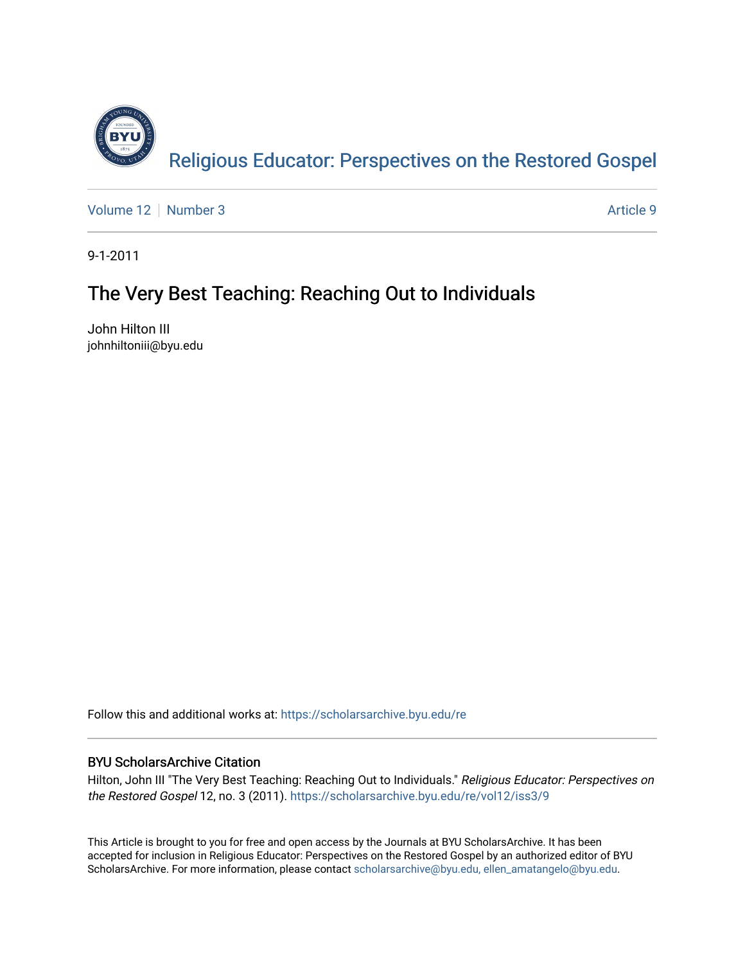

[Volume 12](https://scholarsarchive.byu.edu/re/vol12) [Number 3](https://scholarsarchive.byu.edu/re/vol12/iss3) Article 9

9-1-2011

# The Very Best Teaching: Reaching Out to Individuals

John Hilton III johnhiltoniii@byu.edu

Follow this and additional works at: [https://scholarsarchive.byu.edu/re](https://scholarsarchive.byu.edu/re?utm_source=scholarsarchive.byu.edu%2Fre%2Fvol12%2Fiss3%2F9&utm_medium=PDF&utm_campaign=PDFCoverPages)

# BYU ScholarsArchive Citation

Hilton, John III "The Very Best Teaching: Reaching Out to Individuals." Religious Educator: Perspectives on the Restored Gospel 12, no. 3 (2011). [https://scholarsarchive.byu.edu/re/vol12/iss3/9](https://scholarsarchive.byu.edu/re/vol12/iss3/9?utm_source=scholarsarchive.byu.edu%2Fre%2Fvol12%2Fiss3%2F9&utm_medium=PDF&utm_campaign=PDFCoverPages) 

This Article is brought to you for free and open access by the Journals at BYU ScholarsArchive. It has been accepted for inclusion in Religious Educator: Perspectives on the Restored Gospel by an authorized editor of BYU ScholarsArchive. For more information, please contact [scholarsarchive@byu.edu, ellen\\_amatangelo@byu.edu.](mailto:scholarsarchive@byu.edu,%20ellen_amatangelo@byu.edu)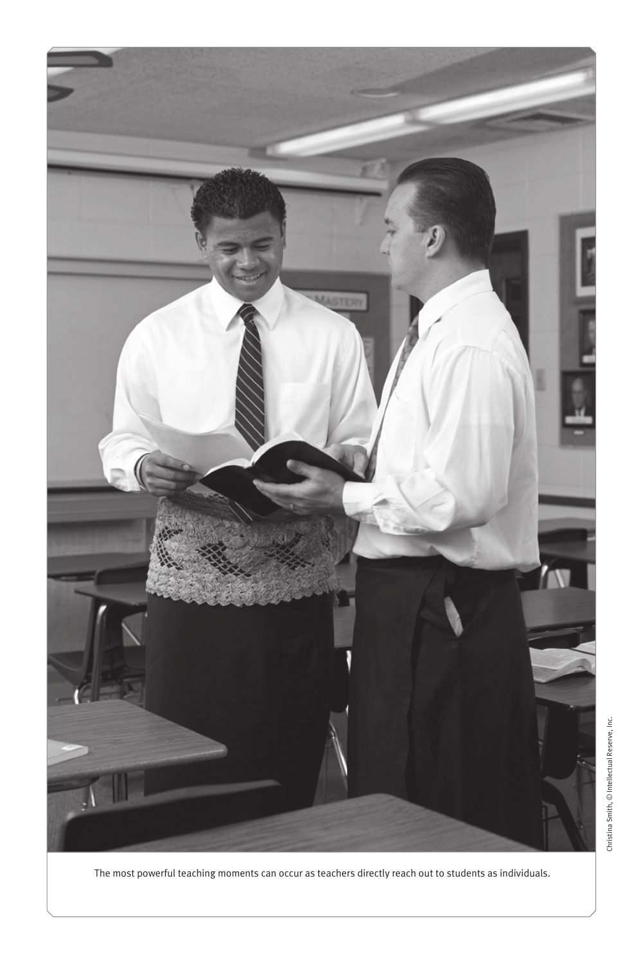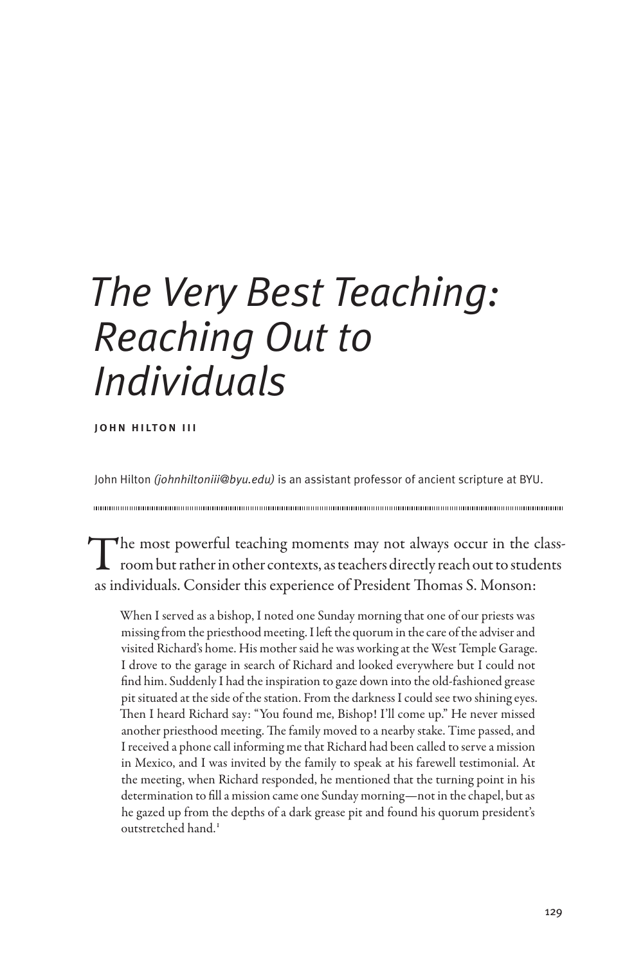# *The Very Best Teaching: Reaching Out to Individuals*

john hilton iii

John Hilton *(johnhiltoniii@byu.edu)* is an assistant professor of ancient scripture at BYU.

The most powerful teaching moments may not always occur in the class-<br>room but rather in other contexts, as teachers directly reach out to students as individuals. Consider this experience of President Thomas S. Monson:

When I served as a bishop, I noted one Sunday morning that one of our priests was missing from the priesthood meeting. I left the quorum in the care of the adviser and visited Richard's home. His mother said he was working at the West Temple Garage. I drove to the garage in search of Richard and looked everywhere but I could not find him. Suddenly I had the inspiration to gaze down into the old-fashioned grease pit situated at the side of the station. From the darkness I could see two shining eyes. Then I heard Richard say: "You found me, Bishop! I'll come up." He never missed another priesthood meeting. The family moved to a nearby stake. Time passed, and I received a phone call informing me that Richard had been called to serve a mission in Mexico, and I was invited by the family to speak at his farewell testimonial. At the meeting, when Richard responded, he mentioned that the turning point in his determination to fill a mission came one Sunday morning—not in the chapel, but as he gazed up from the depths of a dark grease pit and found his quorum president's outstretched hand.1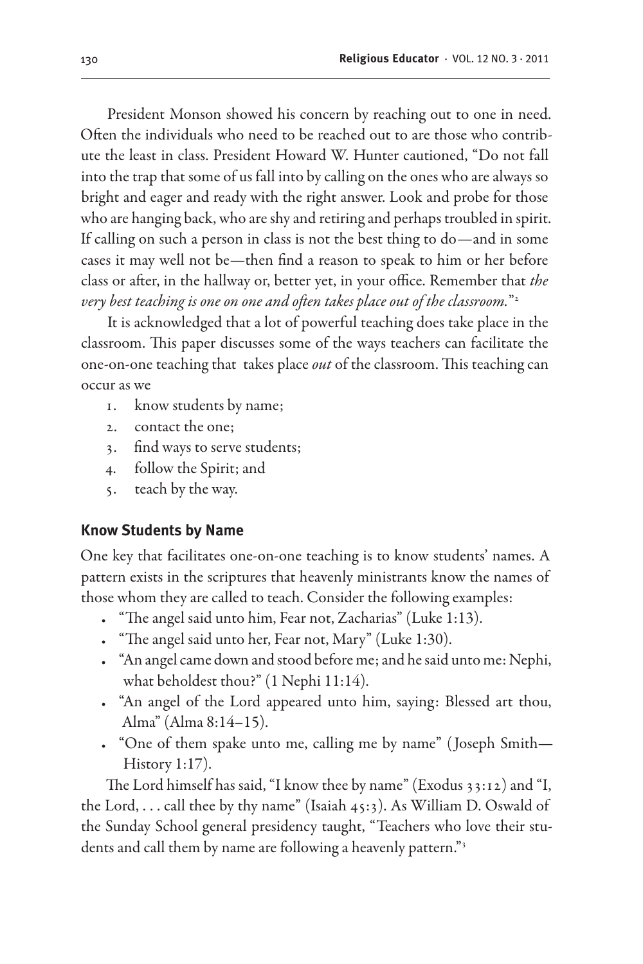President Monson showed his concern by reaching out to one in need. Often the individuals who need to be reached out to are those who contribute the least in class. President Howard W. Hunter cautioned, "Do not fall into the trap that some of us fall into by calling on the ones who are always so bright and eager and ready with the right answer. Look and probe for those who are hanging back, who are shy and retiring and perhaps troubled in spirit. If calling on such a person in class is not the best thing to do—and in some cases it may well not be—then find a reason to speak to him or her before class or after, in the hallway or, better yet, in your office. Remember that *the very best teaching is one on one and often takes place out of the classroom.*"2

It is acknowledged that a lot of powerful teaching does take place in the classroom. This paper discusses some of the ways teachers can facilitate the one-on-one teaching that takes place *out* of the classroom. This teaching can occur as we

- 1. know students by name;
- 2. contact the one;
- 3. find ways to serve students;
- 4. follow the Spirit; and
- 5. teach by the way.

#### **Know Students by Name**

One key that facilitates one-on-one teaching is to know students' names. A pattern exists in the scriptures that heavenly ministrants know the names of those whom they are called to teach. Consider the following examples:

- "The angel said unto him, Fear not, Zacharias" (Luke 1:13).
- "The angel said unto her, Fear not, Mary" (Luke 1:30).
- "An angel came down and stood before me; and he said unto me: Nephi, what beholdest thou?" (1 Nephi 11:14).
- "An angel of the Lord appeared unto him, saying: Blessed art thou, Alma" (Alma 8:14–15).
- "One of them spake unto me, calling me by name" (Joseph Smith— History 1:17).

The Lord himself has said, "I know thee by name" (Exodus 33:12) and "I, the Lord, . . . call thee by thy name" (Isaiah 45:3). As William D. Oswald of the Sunday School general presidency taught, "Teachers who love their students and call them by name are following a heavenly pattern."<sup>3</sup>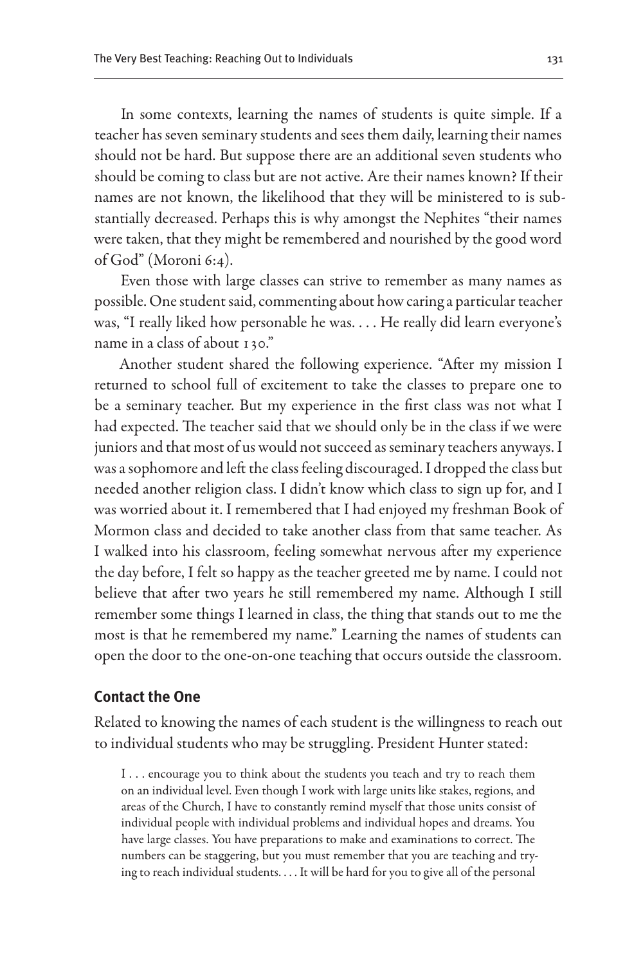In some contexts, learning the names of students is quite simple. If a teacher has seven seminary students and sees them daily, learning their names should not be hard. But suppose there are an additional seven students who should be coming to class but are not active. Are their names known? If their names are not known, the likelihood that they will be ministered to is substantially decreased. Perhaps this is why amongst the Nephites "their names were taken, that they might be remembered and nourished by the good word of God" (Moroni 6:4).

Even those with large classes can strive to remember as many names as possible. One student said, commenting about how caring a particular teacher was, "I really liked how personable he was. . . . He really did learn everyone's name in a class of about 130."

Another student shared the following experience. "After my mission I returned to school full of excitement to take the classes to prepare one to be a seminary teacher. But my experience in the first class was not what I had expected. The teacher said that we should only be in the class if we were juniors and that most of us would not succeed as seminary teachers anyways. I was a sophomore and left the class feeling discouraged. I dropped the class but needed another religion class. I didn't know which class to sign up for, and I was worried about it. I remembered that I had enjoyed my freshman Book of Mormon class and decided to take another class from that same teacher. As I walked into his classroom, feeling somewhat nervous after my experience the day before, I felt so happy as the teacher greeted me by name. I could not believe that after two years he still remembered my name. Although I still remember some things I learned in class, the thing that stands out to me the most is that he remembered my name." Learning the names of students can open the door to the one-on-one teaching that occurs outside the classroom.

#### **Contact the One**

Related to knowing the names of each student is the willingness to reach out to individual students who may be struggling. President Hunter stated:

I . . . encourage you to think about the students you teach and try to reach them on an individual level. Even though I work with large units like stakes, regions, and areas of the Church, I have to constantly remind myself that those units consist of individual people with individual problems and individual hopes and dreams. You have large classes. You have preparations to make and examinations to correct. The numbers can be staggering, but you must remember that you are teaching and trying to reach individual students. . . . It will be hard for you to give all of the personal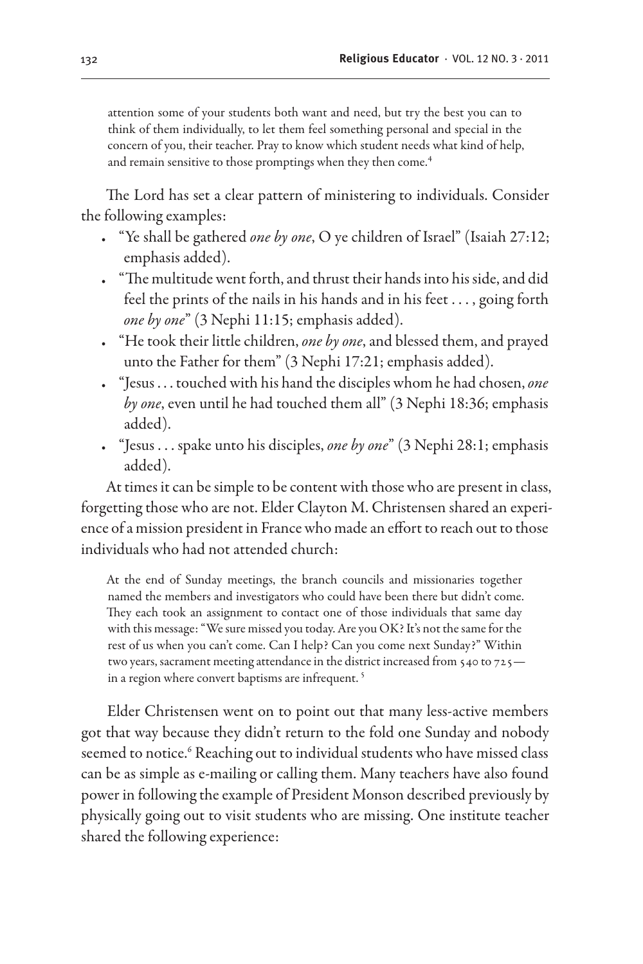attention some of your students both want and need, but try the best you can to think of them individually, to let them feel something personal and special in the concern of you, their teacher. Pray to know which student needs what kind of help, and remain sensitive to those promptings when they then come.<sup>4</sup>

The Lord has set a clear pattern of ministering to individuals. Consider the following examples:

- • "Ye shall be gathered *one by one*, O ye children of Israel" (Isaiah 27:12; emphasis added).
- • "The multitude went forth, and thrust their hands into his side, and did feel the prints of the nails in his hands and in his feet . . . , going forth *one by one*" (3 Nephi 11:15; emphasis added).
- • "He took their little children, *one by one*, and blessed them, and prayed unto the Father for them" (3 Nephi 17:21; emphasis added).
- • "Jesus . . . touched with his hand the disciples whom he had chosen, *one by one*, even until he had touched them all" (3 Nephi 18:36; emphasis added).
- • "Jesus . . . spake unto his disciples, *one by one*" (3 Nephi 28:1; emphasis added).

At times it can be simple to be content with those who are present in class, forgetting those who are not. Elder Clayton M. Christensen shared an experience of a mission president in France who made an effort to reach out to those individuals who had not attended church:

At the end of Sunday meetings, the branch councils and missionaries together named the members and investigators who could have been there but didn't come. They each took an assignment to contact one of those individuals that same day with this message: "We sure missed you today. Are you OK? It's not the same for the rest of us when you can't come. Can I help? Can you come next Sunday?" Within two years, sacrament meeting attendance in the district increased from 540 to 725 in a region where convert baptisms are infrequent.<sup>5</sup>

Elder Christensen went on to point out that many less-active members got that way because they didn't return to the fold one Sunday and nobody seemed to notice.<sup>6</sup> Reaching out to individual students who have missed class can be as simple as e-mailing or calling them. Many teachers have also found power in following the example of President Monson described previously by physically going out to visit students who are missing. One institute teacher shared the following experience: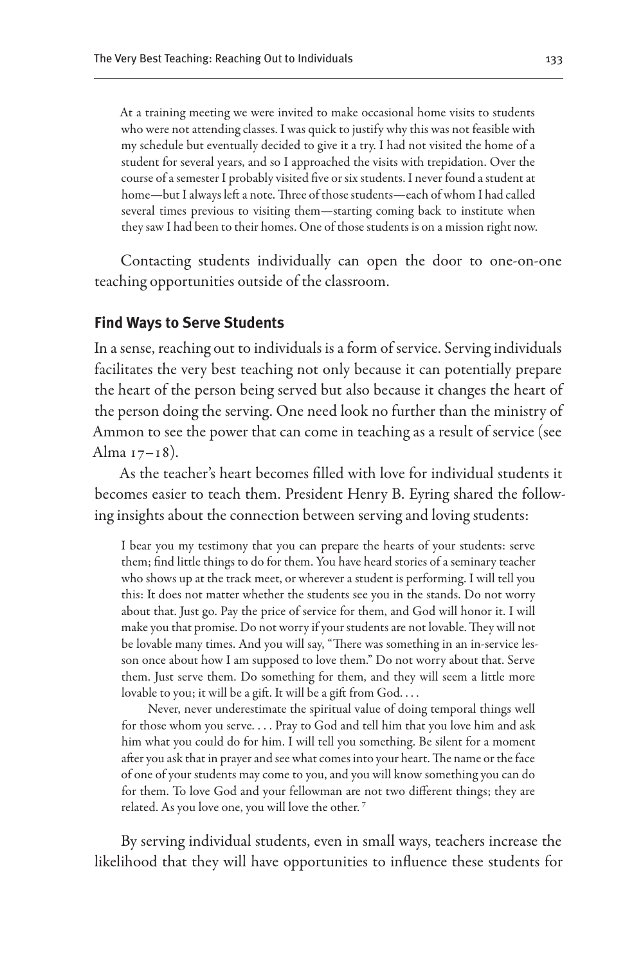At a training meeting we were invited to make occasional home visits to students who were not attending classes. I was quick to justify why this was not feasible with my schedule but eventually decided to give it a try. I had not visited the home of a student for several years, and so I approached the visits with trepidation. Over the course of a semester I probably visited five or six students. I never found a student at home—but I always left a note. Three of those students—each of whom I had called several times previous to visiting them—starting coming back to institute when they saw I had been to their homes. One of those students is on a mission right now.

Contacting students individually can open the door to one-on-one teaching opportunities outside of the classroom.

### **Find Ways to Serve Students**

In a sense, reaching out to individuals is a form of service. Serving individuals facilitates the very best teaching not only because it can potentially prepare the heart of the person being served but also because it changes the heart of the person doing the serving. One need look no further than the ministry of Ammon to see the power that can come in teaching as a result of service (see Alma 17–18).

As the teacher's heart becomes filled with love for individual students it becomes easier to teach them. President Henry B. Eyring shared the following insights about the connection between serving and loving students:

I bear you my testimony that you can prepare the hearts of your students: serve them; find little things to do for them. You have heard stories of a seminary teacher who shows up at the track meet, or wherever a student is performing. I will tell you this: It does not matter whether the students see you in the stands. Do not worry about that. Just go. Pay the price of service for them, and God will honor it. I will make you that promise. Do not worry if your students are not lovable. They will not be lovable many times. And you will say, "There was something in an in-service lesson once about how I am supposed to love them." Do not worry about that. Serve them. Just serve them. Do something for them, and they will seem a little more lovable to you; it will be a gift. It will be a gift from God. . . .

Never, never underestimate the spiritual value of doing temporal things well for those whom you serve. . . . Pray to God and tell him that you love him and ask him what you could do for him. I will tell you something. Be silent for a moment after you ask that in prayer and see what comes into your heart. The name or the face of one of your students may come to you, and you will know something you can do for them. To love God and your fellowman are not two different things; they are related. As you love one, you will love the other. 7

By serving individual students, even in small ways, teachers increase the likelihood that they will have opportunities to influence these students for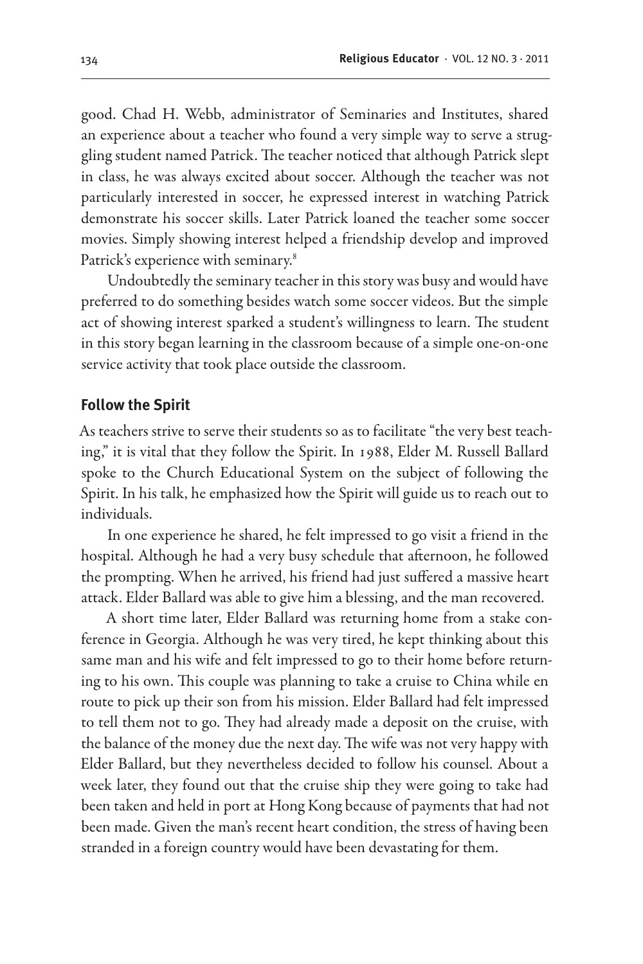good. Chad H. Webb, administrator of Seminaries and Institutes, shared an experience about a teacher who found a very simple way to serve a struggling student named Patrick. The teacher noticed that although Patrick slept in class, he was always excited about soccer. Although the teacher was not particularly interested in soccer, he expressed interest in watching Patrick demonstrate his soccer skills. Later Patrick loaned the teacher some soccer movies. Simply showing interest helped a friendship develop and improved Patrick's experience with seminary.<sup>8</sup>

Undoubtedly the seminary teacher in this story was busy and would have preferred to do something besides watch some soccer videos. But the simple act of showing interest sparked a student's willingness to learn. The student in this story began learning in the classroom because of a simple one-on-one service activity that took place outside the classroom.

#### **Follow the Spirit**

As teachers strive to serve their students so as to facilitate "the very best teaching," it is vital that they follow the Spirit. In 1988, Elder M. Russell Ballard spoke to the Church Educational System on the subject of following the Spirit. In his talk, he emphasized how the Spirit will guide us to reach out to individuals.

In one experience he shared, he felt impressed to go visit a friend in the hospital. Although he had a very busy schedule that afternoon, he followed the prompting. When he arrived, his friend had just suffered a massive heart attack. Elder Ballard was able to give him a blessing, and the man recovered.

A short time later, Elder Ballard was returning home from a stake conference in Georgia. Although he was very tired, he kept thinking about this same man and his wife and felt impressed to go to their home before returning to his own. This couple was planning to take a cruise to China while en route to pick up their son from his mission. Elder Ballard had felt impressed to tell them not to go. They had already made a deposit on the cruise, with the balance of the money due the next day. The wife was not very happy with Elder Ballard, but they nevertheless decided to follow his counsel. About a week later, they found out that the cruise ship they were going to take had been taken and held in port at Hong Kong because of payments that had not been made. Given the man's recent heart condition, the stress of having been stranded in a foreign country would have been devastating for them.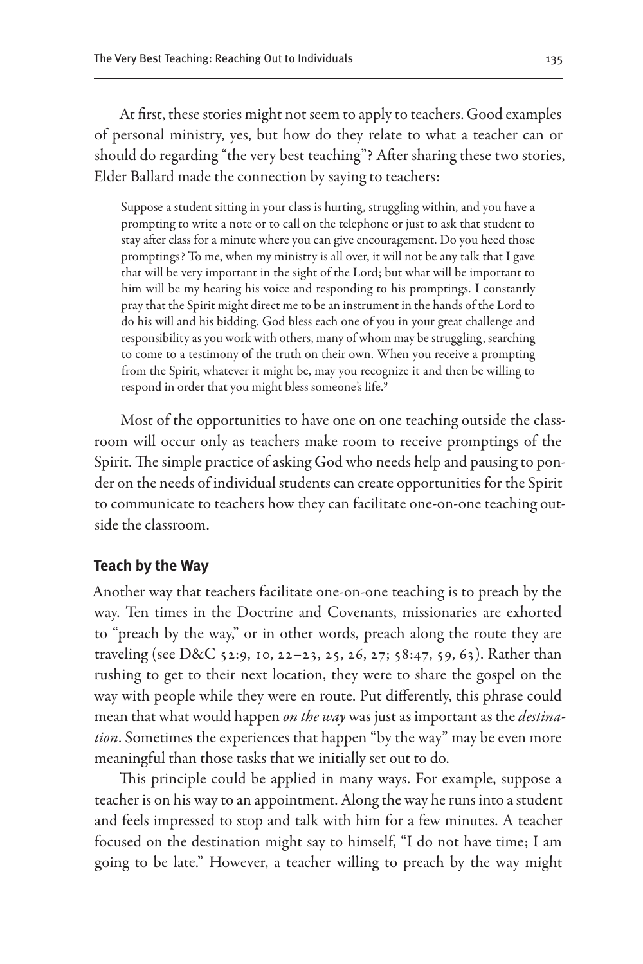At first, these stories might not seem to apply to teachers. Good examples of personal ministry, yes, but how do they relate to what a teacher can or should do regarding "the very best teaching"? After sharing these two stories, Elder Ballard made the connection by saying to teachers:

Suppose a student sitting in your class is hurting, struggling within, and you have a prompting to write a note or to call on the telephone or just to ask that student to stay after class for a minute where you can give encouragement. Do you heed those promptings? To me, when my ministry is all over, it will not be any talk that I gave that will be very important in the sight of the Lord; but what will be important to him will be my hearing his voice and responding to his promptings. I constantly pray that the Spirit might direct me to be an instrument in the hands of the Lord to do his will and his bidding. God bless each one of you in your great challenge and responsibility as you work with others, many of whom may be struggling, searching to come to a testimony of the truth on their own. When you receive a prompting from the Spirit, whatever it might be, may you recognize it and then be willing to respond in order that you might bless someone's life.<sup>9</sup>

Most of the opportunities to have one on one teaching outside the classroom will occur only as teachers make room to receive promptings of the Spirit. The simple practice of asking God who needs help and pausing to ponder on the needs of individual students can create opportunities for the Spirit to communicate to teachers how they can facilitate one-on-one teaching outside the classroom.

#### **Teach by the Way**

Another way that teachers facilitate one-on-one teaching is to preach by the way. Ten times in the Doctrine and Covenants, missionaries are exhorted to "preach by the way," or in other words, preach along the route they are traveling (see D&C 52:9, 10, 22–23, 25, 26, 27; 58:47, 59, 63). Rather than rushing to get to their next location, they were to share the gospel on the way with people while they were en route. Put differently, this phrase could mean that what would happen *on the way* was just as important as the *destination*. Sometimes the experiences that happen "by the way" may be even more meaningful than those tasks that we initially set out to do.

This principle could be applied in many ways. For example, suppose a teacher is on his way to an appointment. Along the way he runs into a student and feels impressed to stop and talk with him for a few minutes. A teacher focused on the destination might say to himself, "I do not have time; I am going to be late." However, a teacher willing to preach by the way might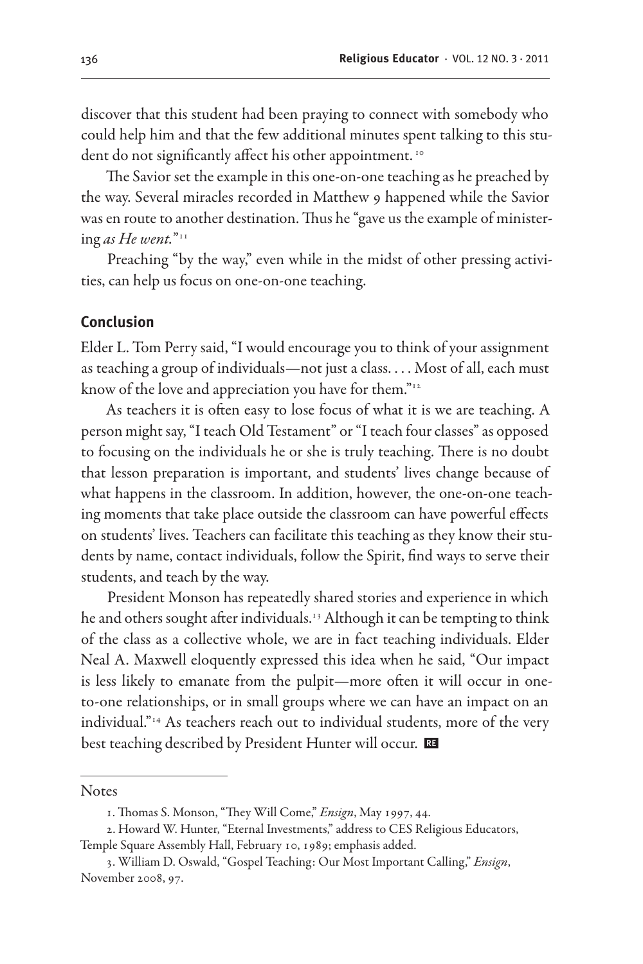discover that this student had been praying to connect with somebody who could help him and that the few additional minutes spent talking to this student do not significantly affect his other appointment.<sup>10</sup>

The Savior set the example in this one-on-one teaching as he preached by the way. Several miracles recorded in Matthew 9 happened while the Savior was en route to another destination. Thus he "gave us the example of ministering *as He went.*"11

Preaching "by the way," even while in the midst of other pressing activities, can help us focus on one-on-one teaching.

## **Conclusion**

Elder L. Tom Perry said, "I would encourage you to think of your assignment as teaching a group of individuals—not just a class. . . . Most of all, each must know of the love and appreciation you have for them."<sup>12</sup>

As teachers it is often easy to lose focus of what it is we are teaching. A person might say, "I teach Old Testament" or "I teach four classes" as opposed to focusing on the individuals he or she is truly teaching. There is no doubt that lesson preparation is important, and students' lives change because of what happens in the classroom. In addition, however, the one-on-one teaching moments that take place outside the classroom can have powerful effects on students' lives. Teachers can facilitate this teaching as they know their students by name, contact individuals, follow the Spirit, find ways to serve their students, and teach by the way.

President Monson has repeatedly shared stories and experience in which he and others sought after individuals.<sup>13</sup> Although it can be tempting to think of the class as a collective whole, we are in fact teaching individuals. Elder Neal A. Maxwell eloquently expressed this idea when he said, "Our impact is less likely to emanate from the pulpit—more often it will occur in oneto-one relationships, or in small groups where we can have an impact on an individual."14 As teachers reach out to individual students, more of the very best teaching described by President Hunter will occur. E

**Notes** 

<sup>1.</sup> Thomas S. Monson, "They Will Come," *Ensign*, May 1997, 44.

<sup>2.</sup> Howard W. Hunter, "Eternal Investments," address to CES Religious Educators, Temple Square Assembly Hall, February 10, 1989; emphasis added.

<sup>3.</sup> William D. Oswald, "Gospel Teaching: Our Most Important Calling," *Ensign*, November 2008, 97.